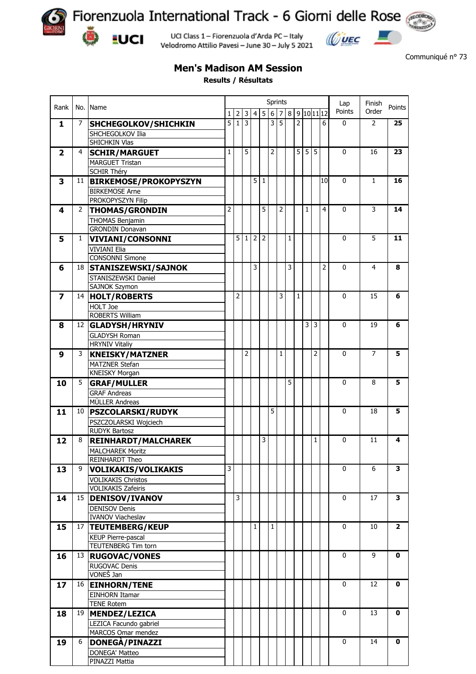

**EUCI** 

Fiorenzuola International Track - 6 Giorni delle Rose

 $\omega = 1$ 

Communiqué n° 73

UCI Class 1 - Fiorenzuola d'Arda PC - Italy Velodromo Attilio Pavesi - June 30 - July 5 2021

## **Men's Madison AM Session**

**Results / Résultats**

|                         |    | No. Name                     | Sprints<br>Lap<br>Finish |          |            |              |                |                |                |     |   |            |   |                |              |                |                |
|-------------------------|----|------------------------------|--------------------------|----------|------------|--------------|----------------|----------------|----------------|-----|---|------------|---|----------------|--------------|----------------|----------------|
| Rank                    |    |                              | $\mathbf{1}$             |          | $2 \mid 3$ | 4            | 5              | $6\phantom{1}$ |                | 7 8 |   | 9 10 11 12 |   |                | Points       | Order          | Points         |
| 1                       | 7  | <b>SHCHEGOLKOV/SHICHKIN</b>  | $\overline{5}$           | $1\vert$ | 3          |              |                | 3              | $\overline{5}$ |     | 2 |            |   | 6              | $\pmb{0}$    | 2              | 25             |
|                         |    | SHCHEGOLKOV Ilia             |                          |          |            |              |                |                |                |     |   |            |   |                |              |                |                |
|                         |    | SHICHKIN Vlas                |                          |          |            |              |                |                |                |     |   |            |   |                |              |                |                |
| $\overline{\mathbf{2}}$ | 4  | <b>SCHIR/MARGUET</b>         | $\mathbf{1}$             |          | 5          |              |                | 2              |                |     |   | 5 5 5      |   |                | $\mathbf{0}$ | 16             | 23             |
|                         |    | <b>MARGUET Tristan</b>       |                          |          |            |              |                |                |                |     |   |            |   |                |              |                |                |
|                         |    | <b>SCHIR Théry</b>           |                          |          |            |              |                |                |                |     |   |            |   |                |              |                |                |
| 3                       | 11 | <b>BIRKEMOSE/PROKOPYSZYN</b> |                          |          |            | 5            | $\mathbf{1}$   |                |                |     |   |            |   | 10             | 0            | $\mathbf{1}$   | 16             |
|                         |    | <b>BIRKEMOSE Arne</b>        |                          |          |            |              |                |                |                |     |   |            |   |                |              |                |                |
|                         |    | PROKOPYSZYN Filip            |                          |          |            |              |                |                |                |     |   |            |   |                |              |                |                |
| 4                       | 2  | <b>THOMAS/GRONDIN</b>        | $\overline{2}$           |          |            |              | 5              |                | 2              |     |   | 1          |   | 4              | $\mathbf{0}$ | 3              | 14             |
|                         |    | THOMAS Benjamin              |                          |          |            |              |                |                |                |     |   |            |   |                |              |                |                |
|                         |    | <b>GRONDIN Donavan</b>       |                          |          |            |              |                |                |                |     |   |            |   |                |              |                |                |
| 5                       | 1  | <b>VIVIANI/CONSONNI</b>      |                          |          |            | 5 1 2        | $\overline{2}$ |                |                | 1   |   |            |   |                | 0            | 5              | 11             |
|                         |    | <b>VIVIANI Elia</b>          |                          |          |            |              |                |                |                |     |   |            |   |                |              |                |                |
|                         |    | <b>CONSONNI Simone</b>       |                          |          |            |              |                |                |                |     |   |            |   |                |              |                |                |
| 6                       | 18 | <b>STANISZEWSKI/SAJNOK</b>   |                          |          |            | 3            |                |                |                | 3   |   |            |   | $\overline{2}$ | 0            | 4              | 8              |
|                         |    | STANISZEWSKI Daniel          |                          |          |            |              |                |                |                |     |   |            |   |                |              |                |                |
|                         |    | SAJNOK Szymon                |                          |          |            |              |                |                |                |     |   |            |   |                |              |                |                |
| $\overline{\mathbf{z}}$ | 14 | <b>HOLT/ROBERTS</b>          |                          | 2        |            |              |                |                | 3              |     | 1 |            |   |                | 0            | 15             | 6              |
|                         |    | HOLT Joe                     |                          |          |            |              |                |                |                |     |   |            |   |                |              |                |                |
|                         |    | ROBERTS William              |                          |          |            |              |                |                |                |     |   |            |   |                |              |                |                |
| 8                       |    | 12 GLADYSH/HRYNIV            |                          |          |            |              |                |                |                |     |   | 3          | 3 |                | $\mathbf{0}$ | 19             | 6              |
|                         |    | <b>GLADYSH Roman</b>         |                          |          |            |              |                |                |                |     |   |            |   |                |              |                |                |
|                         |    | <b>HRYNIV Vitaliy</b>        |                          |          |            |              |                |                |                |     |   |            |   |                |              |                |                |
| 9                       | 3  | <b>KNEISKY/MATZNER</b>       |                          |          | 2          |              |                |                | 1              |     |   |            | 2 |                | $\mathbf{0}$ | $\overline{7}$ | 5              |
|                         |    | MATZNER Stefan               |                          |          |            |              |                |                |                |     |   |            |   |                |              |                |                |
|                         |    | <b>KNEISKY Morgan</b>        |                          |          |            |              |                |                |                |     |   |            |   |                |              |                |                |
| 10                      | 5  | <b>GRAF/MULLER</b>           |                          |          |            |              |                |                |                | 5   |   |            |   |                | 0            | 8              | 5              |
|                         |    | <b>GRAF Andreas</b>          |                          |          |            |              |                |                |                |     |   |            |   |                |              |                |                |
|                         |    | MÜLLER Andreas               |                          |          |            |              |                |                |                |     |   |            |   |                |              |                |                |
| 11                      | 10 | <b>PSZCOLARSKI/RUDYK</b>     |                          |          |            |              |                | 5              |                |     |   |            |   |                | $\mathbf{0}$ | 18             | 5              |
|                         |    | PSZCZOLARSKI Wojciech        |                          |          |            |              |                |                |                |     |   |            |   |                |              |                |                |
|                         |    | <b>RUDYK Bartosz</b>         |                          |          |            |              |                |                |                |     |   |            |   |                |              |                |                |
| 12                      | 8  | <b>REINHARDT/MALCHAREK</b>   |                          |          |            |              | 3              |                |                |     |   |            | 1 |                | 0            | 11             | 4              |
|                         |    | <b>MALCHAREK Moritz</b>      |                          |          |            |              |                |                |                |     |   |            |   |                |              |                |                |
|                         |    | REINHARDT Theo               |                          |          |            |              |                |                |                |     |   |            |   |                |              |                |                |
| 13                      | 9  | <b>VOLIKAKIS/VOLIKAKIS</b>   | 3                        |          |            |              |                |                |                |     |   |            |   |                | $\mathbf 0$  | 6              | 3              |
|                         |    | <b>VOLIKAKIS Christos</b>    |                          |          |            |              |                |                |                |     |   |            |   |                |              |                |                |
|                         |    | <b>VOLIKAKIS Zafeiris</b>    |                          |          |            |              |                |                |                |     |   |            |   |                |              |                |                |
| 14                      | 15 | DENISOV/IVANOV               |                          | 3        |            |              |                |                |                |     |   |            |   |                | $\mathbf 0$  | 17             | 3              |
|                         |    | <b>DENISOV Denis</b>         |                          |          |            |              |                |                |                |     |   |            |   |                |              |                |                |
|                         |    | <b>IVANOV Viacheslav</b>     |                          |          |            |              |                |                |                |     |   |            |   |                |              |                |                |
| 15                      | 17 | <b>TEUTEMBERG/KEUP</b>       |                          |          |            | $\mathbf{1}$ |                | 1              |                |     |   |            |   |                | $\mathbf 0$  | 10             | $\overline{2}$ |
|                         |    | <b>KEUP Pierre-pascal</b>    |                          |          |            |              |                |                |                |     |   |            |   |                |              |                |                |
|                         |    | <b>TEUTENBERG Tim torn</b>   |                          |          |            |              |                |                |                |     |   |            |   |                |              |                |                |
| 16                      | 13 | <b>RUGOVAC/VONES</b>         |                          |          |            |              |                |                |                |     |   |            |   |                | $\mathbf 0$  | 9              | 0              |
|                         |    | <b>RUGOVAC Denis</b>         |                          |          |            |              |                |                |                |     |   |            |   |                |              |                |                |
|                         |    | VONEŠ Jan                    |                          |          |            |              |                |                |                |     |   |            |   |                |              |                |                |
| 17                      | 16 | <b>EINHORN/TENE</b>          |                          |          |            |              |                |                |                |     |   |            |   |                | $\mathbf 0$  | 12             | 0              |
|                         |    | <b>EINHORN Itamar</b>        |                          |          |            |              |                |                |                |     |   |            |   |                |              |                |                |
|                         |    | <b>TENE Rotem</b>            |                          |          |            |              |                |                |                |     |   |            |   |                |              |                |                |
| 18                      | 19 | MENDEZ/LEZICA                |                          |          |            |              |                |                |                |     |   |            |   |                | $\mathbf 0$  | 13             | 0              |
|                         |    | LEZICA Facundo gabriel       |                          |          |            |              |                |                |                |     |   |            |   |                |              |                |                |
|                         |    | MARCOS Omar mendez           |                          |          |            |              |                |                |                |     |   |            |   |                |              |                |                |
| 19                      | 6  | DONEGA/PINAZZI               |                          |          |            |              |                |                |                |     |   |            |   |                | $\mathbf 0$  | 14             | 0              |
|                         |    | <b>DONEGA' Matteo</b>        |                          |          |            |              |                |                |                |     |   |            |   |                |              |                |                |
|                         |    | PINAZZI Mattia               |                          |          |            |              |                |                |                |     |   |            |   |                |              |                |                |
|                         |    |                              |                          |          |            |              |                |                |                |     |   |            |   |                |              |                |                |